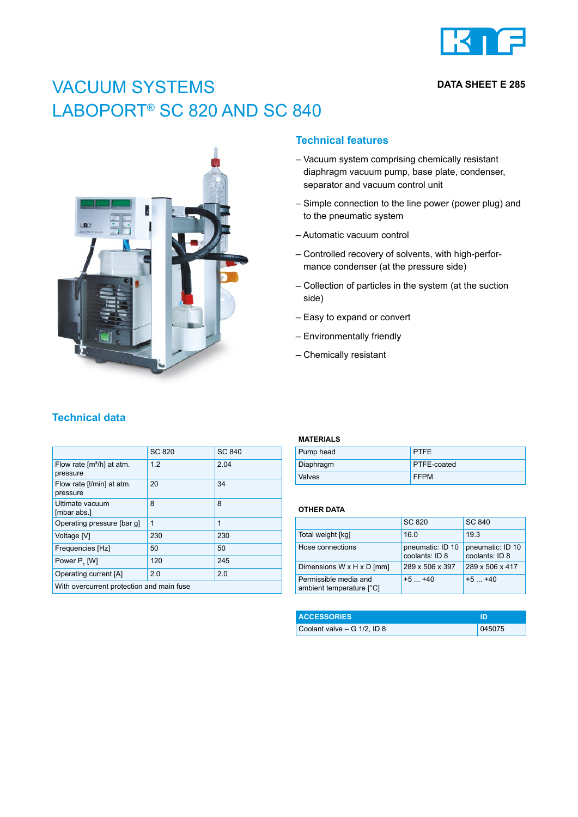

## **DATA SHEET E 285**

# VACUUM SYSTEMS LABOPORT<sup>®</sup> SC 820 AND SC 840



## **Technical features**

- Vacuum system comprising chemically resistant diaphragm vacuum pump, base plate, condenser, separator and vacuum control unit
- Simple connection to the line power (power plug) and to the pneumatic system
- Automatic vacuum control
- Controlled recovery of solvents, with high-performance condenser (at the pressure side)
- Collection of particles in the system (at the suction side)
- Easy to expand or convert
- Environmentally friendly
- Chemically resistant

# **Technical data**

|                                                   | SC 820 | SC 840 |  |  |
|---------------------------------------------------|--------|--------|--|--|
| Flow rate [m <sup>3</sup> /h] at atm.<br>pressure | 12     | 2.04   |  |  |
| Flow rate [I/min] at atm.<br>pressure             | 20     | 34     |  |  |
| Ultimate vacuum<br>[mbar abs.]                    | 8      | 8      |  |  |
| Operating pressure [bar q]                        | 1      | 1      |  |  |
| Voltage [V]                                       | 230    | 230    |  |  |
| Frequencies [Hz]                                  | 50     | 50     |  |  |
| Power P, [W]                                      | 120    | 245    |  |  |
| Operating current [A]                             | 2.0    | 2.0    |  |  |
| With overcurrent protection and main fuse         |        |        |  |  |

### **MATERIALS**

| Pump head     | <b>PTFE</b>        |
|---------------|--------------------|
| Diaphragm     | <b>PTFE-coated</b> |
| <b>Valves</b> | <b>FFPM</b>        |

#### **OTHER DATA**

|                                                   | SC 820                             | SC 840                             |
|---------------------------------------------------|------------------------------------|------------------------------------|
| Total weight [kg]                                 | 16.0                               | 19.3                               |
| Hose connections                                  | pneumatic: ID 10<br>coolants: ID 8 | pneumatic: ID 10<br>coolants: ID 8 |
| Dimensions W x H x D [mm]                         | 289 x 506 x 397                    | 289 x 506 x 417                    |
| Permissible media and<br>ambient temperature [°C] | $+5$ $+40$                         | $+5$ $+40$                         |

| <b>ACCESSORIES</b>             |        |
|--------------------------------|--------|
| Coolant valve $- G 1/2$ , ID 8 | 045075 |